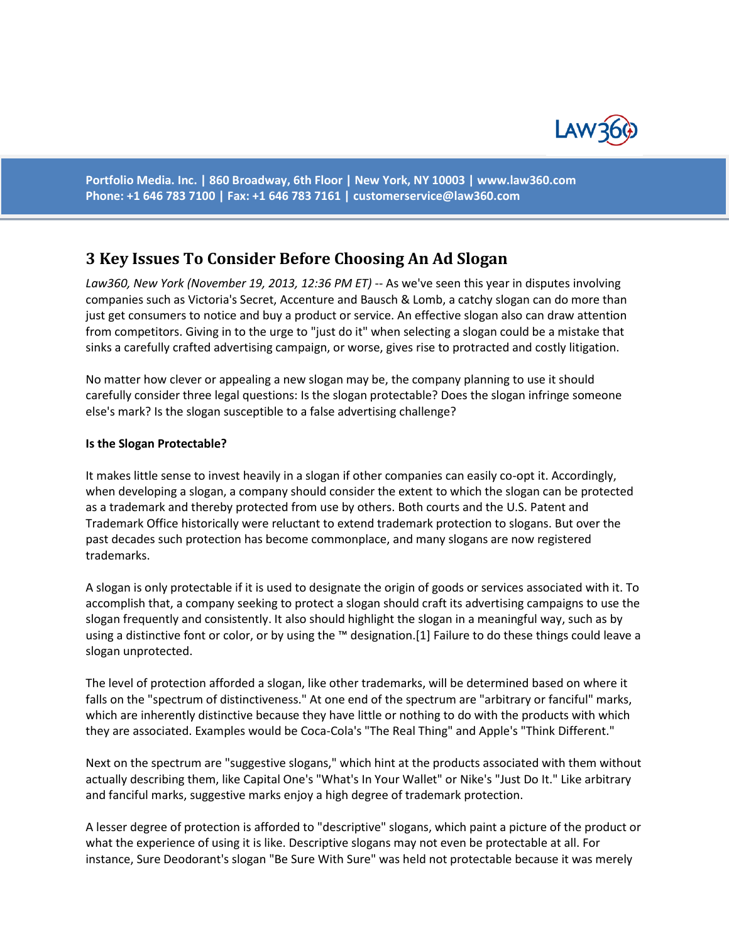

**Portfolio Media. Inc. | 860 Broadway, 6th Floor | New York, NY 10003 | www.law360.com Phone: +1 646 783 7100 | Fax: +1 646 783 7161 | [customerservice@law360.com](mailto:customerservice@law360.com)**

## **3 Key Issues To Consider Before Choosing An Ad Slogan**

Law360, New York (November 19, 2013, 12:36 PM ET) -- As we've seen this year in disputes involving companies such as Victoria's Secret, Accenture and Bausch & Lomb, a catchy slogan can do more than just get consumers to notice and buy a product or service. An effective slogan also can draw attention from competitors. Giving in to the urge to "just do it" when selecting a slogan could be a mistake that sinks a carefully crafted advertising campaign, or worse, gives rise to protracted and costly litigation.

No matter how clever or appealing a new slogan may be, the company planning to use it should carefully consider three legal questions: Is the slogan protectable? Does the slogan infringe someone else's mark? Is the slogan susceptible to a false advertising challenge?

## **Is the Slogan Protectable?**

It makes little sense to invest heavily in a slogan if other companies can easily co-opt it. Accordingly, when developing a slogan, a company should consider the extent to which the slogan can be protected as a trademark and thereby protected from use by others. Both courts and the U.S. Patent and Trademark Office historically were reluctant to extend trademark protection to slogans. But over the past decades such protection has become commonplace, and many slogans are now registered trademarks.

A slogan is only protectable if it is used to designate the origin of goods or services associated with it. To accomplish that, a company seeking to protect a slogan should craft its advertising campaigns to use the slogan frequently and consistently. It also should highlight the slogan in a meaningful way, such as by using a distinctive font or color, or by using the ™ designation.[1] Failure to do these things could leave a slogan unprotected.

The level of protection afforded a slogan, like other trademarks, will be determined based on where it falls on the "spectrum of distinctiveness." At one end of the spectrum are "arbitrary or fanciful" marks, which are inherently distinctive because they have little or nothing to do with the products with which they are associated. Examples would be Coca-Cola's "The Real Thing" and Apple's "Think Different."

Next on the spectrum are "suggestive slogans," which hint at the products associated with them without actually describing them, like Capital One's "What's In Your Wallet" or Nike's "Just Do It." Like arbitrary and fanciful marks, suggestive marks enjoy a high degree of trademark protection.

A lesser degree of protection is afforded to "descriptive" slogans, which paint a picture of the product or what the experience of using it is like. Descriptive slogans may not even be protectable at all. For instance, Sure Deodorant's slogan "Be Sure With Sure" was held not protectable because it was merely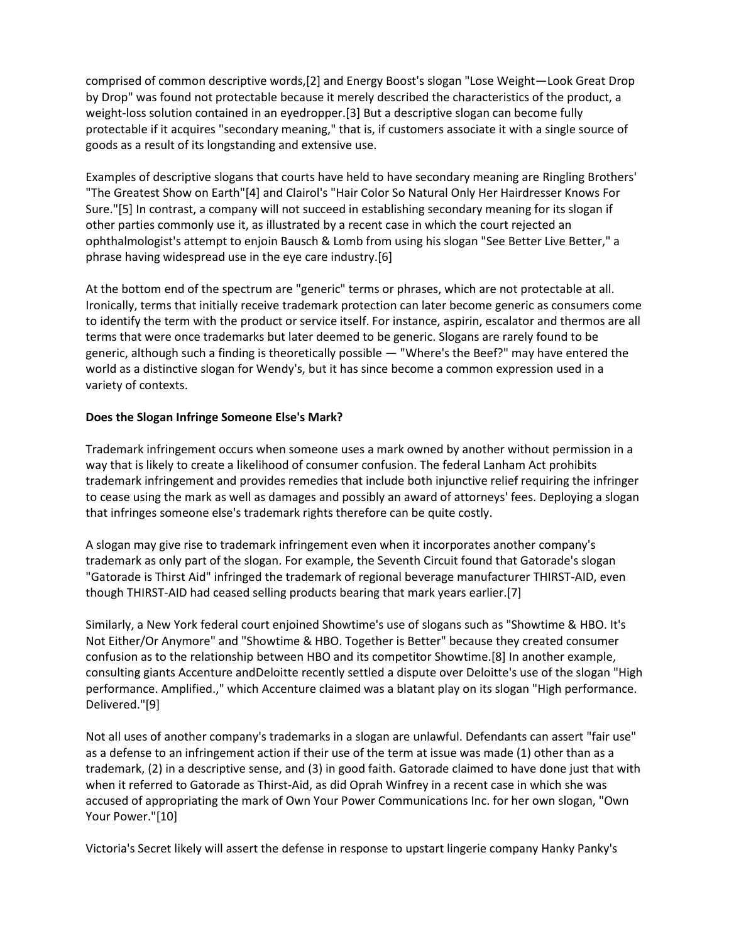comprised of common descriptive words,[2] and Energy Boost's slogan "Lose Weight—Look Great Drop by Drop" was found not protectable because it merely described the characteristics of the product, a weight-loss solution contained in an eyedropper.[3] But a descriptive slogan can become fully protectable if it acquires "secondary meaning," that is, if customers associate it with a single source of goods as a result of its longstanding and extensive use.

Examples of descriptive slogans that courts have held to have secondary meaning are Ringling Brothers' "The Greatest Show on Earth"[4] and Clairol's "Hair Color So Natural Only Her Hairdresser Knows For Sure."[5] In contrast, a company will not succeed in establishing secondary meaning for its slogan if other parties commonly use it, as illustrated by a recent case in which the court rejected an ophthalmologist's attempt to enjoin Bausch & Lomb from using his slogan "See Better Live Better," a phrase having widespread use in the eye care industry.[6]

At the bottom end of the spectrum are "generic" terms or phrases, which are not protectable at all. Ironically, terms that initially receive trademark protection can later become generic as consumers come to identify the term with the product or service itself. For instance, aspirin, escalator and thermos are all terms that were once trademarks but later deemed to be generic. Slogans are rarely found to be generic, although such a finding is theoretically possible — "Where's the Beef?" may have entered the world as a distinctive slogan for Wendy's, but it has since become a common expression used in a variety of contexts.

## **Does the Slogan Infringe Someone Else's Mark?**

Trademark infringement occurs when someone uses a mark owned by another without permission in a way that is likely to create a likelihood of consumer confusion. The federal Lanham Act prohibits trademark infringement and provides remedies that include both injunctive relief requiring the infringer to cease using the mark as well as damages and possibly an award of attorneys' fees. Deploying a slogan that infringes someone else's trademark rights therefore can be quite costly.

A slogan may give rise to trademark infringement even when it incorporates another company's trademark as only part of the slogan. For example, the Seventh Circuit found that Gatorade's slogan "Gatorade is Thirst Aid" infringed the trademark of regional beverage manufacturer THIRST-AID, even though THIRST-AID had ceased selling products bearing that mark years earlier.[7]

Similarly, a New York federal court enjoined Showtime's use of slogans such as "Showtime & HBO. It's Not Either/Or Anymore" and "Showtime & HBO. Together is Better" because they created consumer confusion as to the relationship between HBO and its competitor Showtime.[8] In another example, consulting giants Accenture andDeloitte recently settled a dispute over Deloitte's use of the slogan "High performance. Amplified.," which Accenture claimed was a blatant play on its slogan "High performance. Delivered."[9]

Not all uses of another company's trademarks in a slogan are unlawful. Defendants can assert "fair use" as a defense to an infringement action if their use of the term at issue was made (1) other than as a trademark, (2) in a descriptive sense, and (3) in good faith. Gatorade claimed to have done just that with when it referred to Gatorade as Thirst-Aid, as did Oprah Winfrey in a recent case in which she was accused of appropriating the mark of Own Your Power Communications Inc. for her own slogan, "Own Your Power."[10]

Victoria's Secret likely will assert the defense in response to upstart lingerie company Hanky Panky's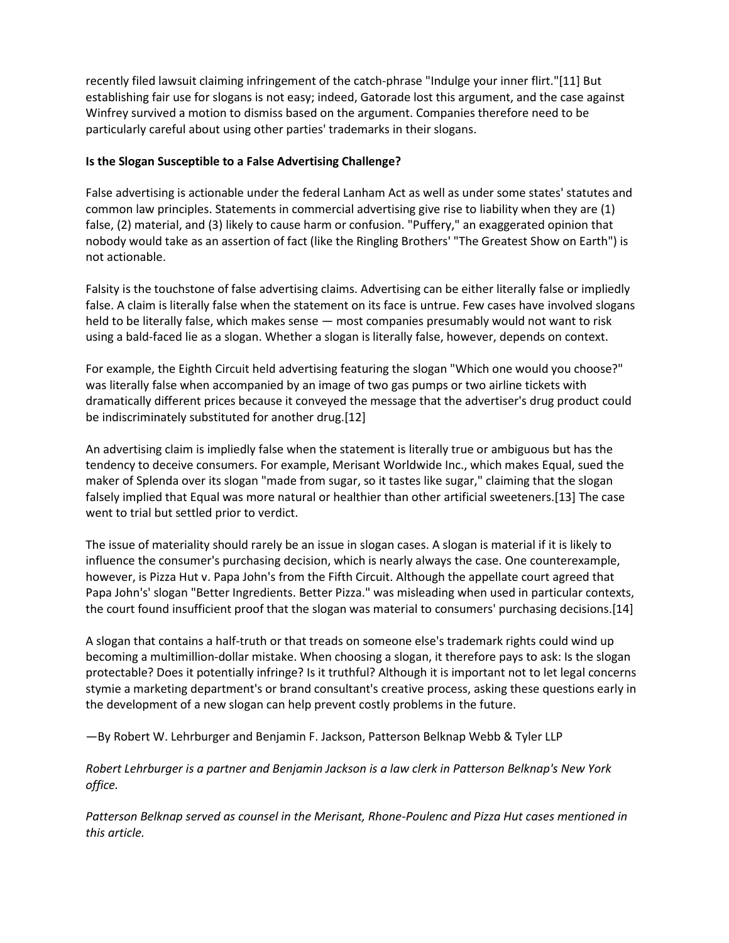recently filed lawsuit claiming infringement of the catch-phrase "Indulge your inner flirt."[11] But establishing fair use for slogans is not easy; indeed, Gatorade lost this argument, and the case against Winfrey survived a motion to dismiss based on the argument. Companies therefore need to be particularly careful about using other parties' trademarks in their slogans.

## **Is the Slogan Susceptible to a False Advertising Challenge?**

False advertising is actionable under the federal Lanham Act as well as under some states' statutes and common law principles. Statements in commercial advertising give rise to liability when they are (1) false, (2) material, and (3) likely to cause harm or confusion. "Puffery," an exaggerated opinion that nobody would take as an assertion of fact (like the Ringling Brothers' "The Greatest Show on Earth") is not actionable.

Falsity is the touchstone of false advertising claims. Advertising can be either literally false or impliedly false. A claim is literally false when the statement on its face is untrue. Few cases have involved slogans held to be literally false, which makes sense — most companies presumably would not want to risk using a bald-faced lie as a slogan. Whether a slogan is literally false, however, depends on context.

For example, the Eighth Circuit held advertising featuring the slogan "Which one would you choose?" was literally false when accompanied by an image of two gas pumps or two airline tickets with dramatically different prices because it conveyed the message that the advertiser's drug product could be indiscriminately substituted for another drug.[12]

An advertising claim is impliedly false when the statement is literally true or ambiguous but has the tendency to deceive consumers. For example, Merisant Worldwide Inc., which makes Equal, sued the maker of Splenda over its slogan "made from sugar, so it tastes like sugar," claiming that the slogan falsely implied that Equal was more natural or healthier than other artificial sweeteners.[13] The case went to trial but settled prior to verdict.

The issue of materiality should rarely be an issue in slogan cases. A slogan is material if it is likely to influence the consumer's purchasing decision, which is nearly always the case. One counterexample, however, is Pizza Hut v. Papa John's from the Fifth Circuit. Although the appellate court agreed that Papa John's' slogan "Better Ingredients. Better Pizza." was misleading when used in particular contexts, the court found insufficient proof that the slogan was material to consumers' purchasing decisions.[14]

A slogan that contains a half-truth or that treads on someone else's trademark rights could wind up becoming a multimillion-dollar mistake. When choosing a slogan, it therefore pays to ask: Is the slogan protectable? Does it potentially infringe? Is it truthful? Although it is important not to let legal concerns stymie a marketing department's or brand consultant's creative process, asking these questions early in the development of a new slogan can help prevent costly problems in the future.

—By Robert W. Lehrburger and Benjamin F. Jackson, Patterson Belknap Webb & Tyler LLP

*Robert Lehrburger is a partner and Benjamin Jackson is a law clerk in Patterson Belknap's New York office.*

*Patterson Belknap served as counsel in the Merisant, Rhone-Poulenc and Pizza Hut cases mentioned in this article.*